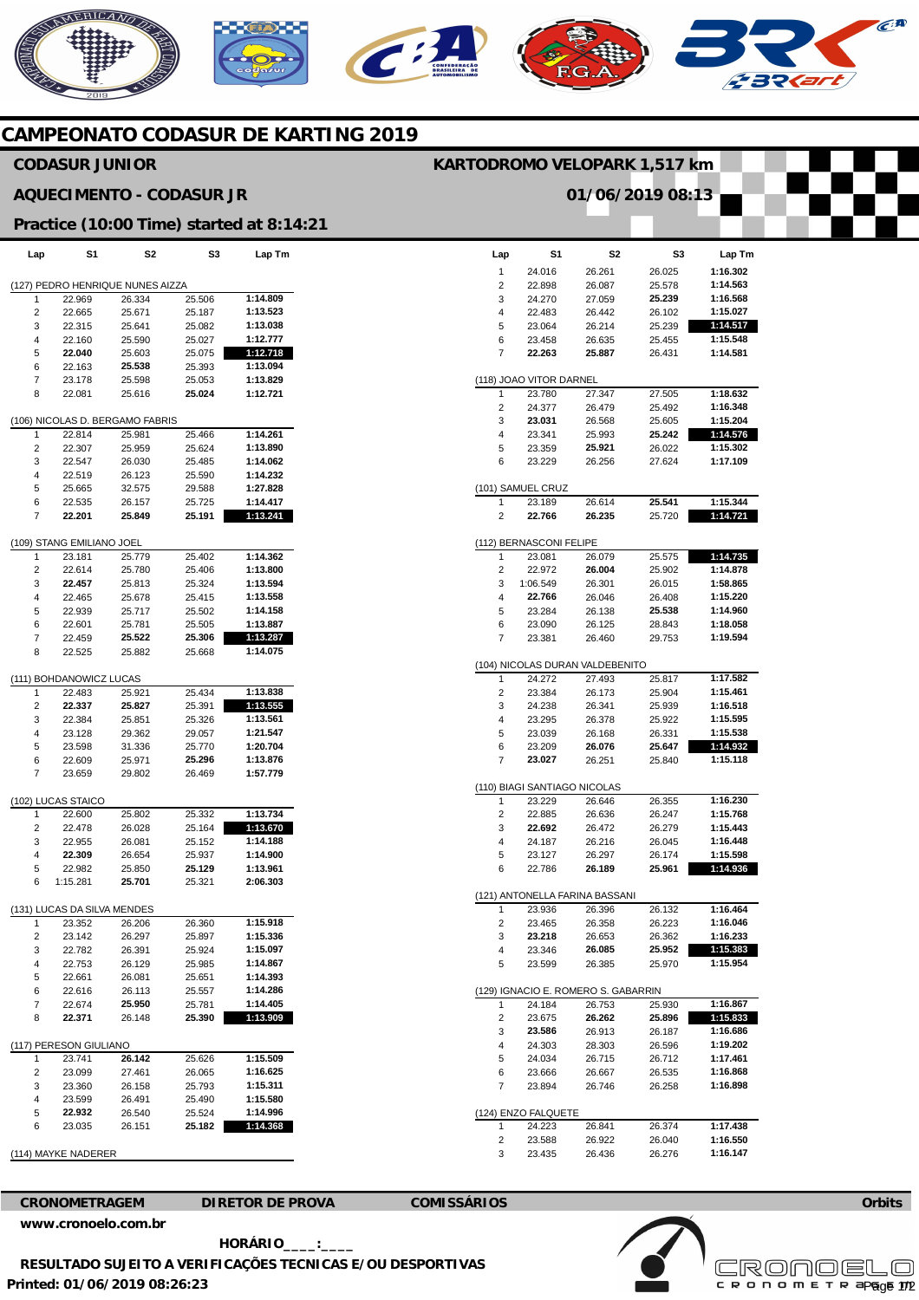# **AERICANO**  $\epsilon$  :

# **CAMPEONATO CODASUR DE KARTING 2019**

## **CODASUR JUNIOR**

### **AQUECIMENTO - CODASUR JR**

#### **Practice (10:00 Time) started at 8:14:21**

| Lap                              | S1                                | S2               | S3               | Lap Tm               |  |  |  |  |  |
|----------------------------------|-----------------------------------|------------------|------------------|----------------------|--|--|--|--|--|
| (127) PEDRO HENRIQUE NUNES AIZZA |                                   |                  |                  |                      |  |  |  |  |  |
| 1                                | 22.969                            | 26.334           | 25.506           | 1:14.809             |  |  |  |  |  |
| 2                                | 22.665                            | 25.671           | 25.187           | 1:13.523             |  |  |  |  |  |
| 3                                | 22.315                            | 25.641           | 25.082           | 1:13.038             |  |  |  |  |  |
| 4                                | 22.160                            | 25.590           | 25.027           | 1:12.777             |  |  |  |  |  |
| 5                                | 22.040                            | 25.603           | 25.075           | 1:12.718             |  |  |  |  |  |
| 6                                | 22.163                            | 25.538           | 25.393           | 1:13.094             |  |  |  |  |  |
| 7                                | 23.178                            | 25.598           | 25.053           | 1:13.829             |  |  |  |  |  |
| 8                                | 22.081                            | 25.616           | 25.024           | 1:12.721             |  |  |  |  |  |
|                                  | (106) NICOLAS D. BERGAMO FABRIS   |                  |                  |                      |  |  |  |  |  |
| 1                                | 22.814                            | 25.981           | 25.466           | 1:14.261             |  |  |  |  |  |
| 2                                | 22.307                            | 25.959           | 25.624           | 1:13.890             |  |  |  |  |  |
| 3                                | 22.547                            | 26.030           | 25.485           | 1:14.062             |  |  |  |  |  |
| 4                                | 22.519                            | 26.123           | 25.590           | 1:14.232             |  |  |  |  |  |
| 5                                | 25.665                            | 32.575           | 29.588           | 1:27.828             |  |  |  |  |  |
| 6                                | 22.535                            | 26.157           | 25.725           | 1:14.417             |  |  |  |  |  |
| 7                                | 22.201                            | 25.849           | 25.191           | 1:13.241             |  |  |  |  |  |
| 1                                | (109) STANG EMILIANO JOEL         | 25.779           |                  |                      |  |  |  |  |  |
| 2                                | 23.181<br>22.614                  | 25.780           | 25.402<br>25.406 | 1:14.362<br>1:13.800 |  |  |  |  |  |
| 3                                | 22.457                            |                  | 25.324           | 1:13.594             |  |  |  |  |  |
| 4                                | 22.465                            | 25.813<br>25.678 | 25.415           | 1:13.558             |  |  |  |  |  |
|                                  | 22.939                            |                  | 25.502           |                      |  |  |  |  |  |
| 5                                | 22.601                            | 25.717           |                  | 1:14.158<br>1:13.887 |  |  |  |  |  |
| 6<br>7                           | 22.459                            | 25.781<br>25.522 | 25.505<br>25.306 |                      |  |  |  |  |  |
| 8                                | 22.525                            | 25.882           | 25.668           | 1:13.287<br>1:14.075 |  |  |  |  |  |
|                                  |                                   |                  |                  |                      |  |  |  |  |  |
| 1                                | (111) BOHDANOWICZ LUCAS<br>22.483 | 25.921           | 25.434           | 1:13.838             |  |  |  |  |  |
| 2                                | 22.337                            | 25.827           | 25.391           | 1:13.555             |  |  |  |  |  |
| 3                                | 22.384                            | 25.851           | 25.326           | 1:13.561             |  |  |  |  |  |
| 4                                | 23.128                            | 29.362           | 29.057           | 1:21.547             |  |  |  |  |  |
| 5                                | 23.598                            | 31.336           | 25.770           | 1:20.704             |  |  |  |  |  |
| 6                                | 22.609                            | 25.971           | 25.296           | 1:13.876             |  |  |  |  |  |
| 7                                | 23.659                            | 29.802           | 26.469           | 1:57.779             |  |  |  |  |  |
|                                  | (102) LUCAS STAICO                |                  |                  |                      |  |  |  |  |  |
| 1                                | 22.600                            | 25.802           | 25.332           | 1:13.734             |  |  |  |  |  |
| 2                                | 22.478                            | 26.028           | 25.164           | 1:13.670             |  |  |  |  |  |
| 3                                | 22.955                            | 26.081           | 25.152           | 1:14.188             |  |  |  |  |  |
| 4                                | 22.309                            | 26.654           | 25.937           | 1:14.900             |  |  |  |  |  |
| 5                                | 22.982                            | 25.850           | 25.129           | 1:13.961             |  |  |  |  |  |
| 6                                | 1:15.281                          | 25.701           | 25.321           | 2:06.303             |  |  |  |  |  |
|                                  | S DA SILVA MENDES                 |                  |                  |                      |  |  |  |  |  |
| 1                                | 23.352                            | 26.206           | 26.360           | 1:15.918             |  |  |  |  |  |
| ۷                                | 23.142                            | 26.297           | 25.897           | 1:15.336             |  |  |  |  |  |
| 3                                | 22.782                            | 26.391           | 25.924           | 1:15.097             |  |  |  |  |  |
| 4                                | 22.753                            | 26.129           | 25.985           | 1:14.867             |  |  |  |  |  |
| 5                                | 22.661                            | 26.081           | 25.651           | 1:14.393             |  |  |  |  |  |
| 6                                | 22.616                            | 26.113           | 25.557           | 1:14.286             |  |  |  |  |  |
| 7                                | 22.674                            | 25.950           | 25.781           | 1:14.405             |  |  |  |  |  |
| 8                                | 22.371                            | 26.148           | 25.390           | 1:13.909             |  |  |  |  |  |
| (117) PERESON GIULIANO           |                                   |                  |                  |                      |  |  |  |  |  |
| 1                                | 23.741                            | 26.142           | 25.626           | 1:15.509             |  |  |  |  |  |
| 2                                | 23.099                            | 27.461           | 26.065           | 1:16.625             |  |  |  |  |  |
| 3                                | 23.360                            | 26.158           | 25.793           | 1:15.311             |  |  |  |  |  |
| 4                                | 23.599                            | 26.491           | 25.490           | 1:15.580             |  |  |  |  |  |
| 5                                | 22.932                            | 26.540           | 25.524           | 1:14.996             |  |  |  |  |  |
| 6                                | 23.035                            | 26.151           | 25.182           | 1:14.368             |  |  |  |  |  |
|                                  |                                   |                  |                  |                      |  |  |  |  |  |

|  | (114) MAYKE NADERER |
|--|---------------------|
|  |                     |

**CRONOMETRAGEM DIRETOR DE PROVA COMISSÁRIOS** 

**Printed: 01/06/2019 08:26:23 [www.cronoelo.com.br](http://www.cronoelo.com.br) HORÁRIO\_\_\_\_:\_\_\_\_ RESULTADO SUJEITO A VERIFICAÇÕES TECNICAS E/OU DESPORTIVAS** 

| Lap    | S1                                            | S2               | S3               | Lap Tm               |  |  |  |  |
|--------|-----------------------------------------------|------------------|------------------|----------------------|--|--|--|--|
| 1      | 24.016                                        | 26.261           | 26.025           | 1:16.302             |  |  |  |  |
| 2      | 22.898                                        | 26.087           | 25.578           | 1:14.563             |  |  |  |  |
| 3      | 24.270                                        | 27.059           | 25.239           | 1:16.568             |  |  |  |  |
| 4      | 22.483                                        | 26.442           | 26.102           | 1:15.027             |  |  |  |  |
| 5      | 23.064                                        | 26.214           | 25.239           | 1:14.517             |  |  |  |  |
| 6      | 23.458                                        | 26.635           | 25.455           | 1:15.548             |  |  |  |  |
| 7      | 22.263                                        | 25.887           | 26.431           | 1:14.581             |  |  |  |  |
|        |                                               |                  |                  |                      |  |  |  |  |
|        | (118) JOAO VITOR DARNEL                       |                  |                  |                      |  |  |  |  |
| 1      | 23.780                                        | 27.347           | 27.505           | 1:18.632             |  |  |  |  |
| 2      | 24.377                                        | 26.479           | 25.492           | 1:16.348             |  |  |  |  |
| 3      | 23.031                                        | 26.568           | 25.605           | 1:15.204             |  |  |  |  |
| 4      | 23.341                                        | 25.993           | 25.242           | 1:14.576             |  |  |  |  |
| 5      | 23.359                                        | 25.921           | 26.022           | 1:15.302             |  |  |  |  |
| 6      | 23.229                                        | 26.256           | 27.624           | 1:17.109             |  |  |  |  |
|        |                                               |                  |                  |                      |  |  |  |  |
|        | (101) SAMUEL CRUZ                             |                  |                  |                      |  |  |  |  |
| 1      | 23.189                                        | 26.614           | 25.541           | 1:15.344             |  |  |  |  |
| 2      | 22.766                                        | 26.235           | 25.720           | 1:14.721             |  |  |  |  |
|        |                                               |                  |                  |                      |  |  |  |  |
| 1      | (112) BERNASCONI FELIPE                       | 26.079           | 25.575           | 1:14.735             |  |  |  |  |
| 2      | 23.081<br>22.972                              | 26.004           | 25.902           | 1:14.878             |  |  |  |  |
| 3      | 1:06.549                                      | 26.301           | 26.015           | 1:58.865             |  |  |  |  |
| 4      | 22.766                                        | 26.046           | 26.408           | 1:15.220             |  |  |  |  |
| 5      | 23.284                                        | 26.138           | 25.538           | 1:14.960             |  |  |  |  |
| 6      | 23.090                                        | 26.125           | 28.843           | 1:18.058             |  |  |  |  |
| 7      | 23.381                                        | 26.460           | 29.753           | 1:19.594             |  |  |  |  |
|        |                                               |                  |                  |                      |  |  |  |  |
|        | (104) NICOLAS DURAN VALDEBENITO               |                  |                  |                      |  |  |  |  |
| 1      | 24.272                                        | 27.493           | 25.817           | 1:17.582             |  |  |  |  |
| 2      | 23.384                                        | 26.173           | 25.904           | 1:15.461             |  |  |  |  |
| 3      | 24.238                                        | 26.341           | 25.939           | 1:16.518             |  |  |  |  |
| 4      | 23.295                                        | 26.378           | 25.922           | 1:15.595             |  |  |  |  |
| 5      | 23.039                                        | 26.168           | 26.331           | 1:15.538             |  |  |  |  |
| 6      | 23.209                                        | 26.076           | 25.647           | 1:14.932             |  |  |  |  |
| 7      | 23.027                                        | 26.251           | 25.840           | 1:15.118             |  |  |  |  |
|        |                                               |                  |                  |                      |  |  |  |  |
|        | (110) BIAGI SANTIAGO NICOLAS                  |                  |                  |                      |  |  |  |  |
| 1      | 23.229                                        | 26.646           | 26.355           | 1:16.230             |  |  |  |  |
| 2      | 22.885                                        | 26.636           | 26.247           | 1:15.768             |  |  |  |  |
| 3      | 22.692                                        | 26.472           | 26.279           | 1:15.443             |  |  |  |  |
| 4      | 24.187                                        | 26.216           | 26.045           | 1:16.448             |  |  |  |  |
| 5      | 23.127                                        | 26.297           | 26.174           | 1:15.598             |  |  |  |  |
| 6      | 22.786                                        | 26.189           | 25.961           | 1:14.936             |  |  |  |  |
|        |                                               |                  |                  |                      |  |  |  |  |
|        | (121) ANTONELLA FARINA BASSANI                |                  |                  |                      |  |  |  |  |
| 1      | 23.936                                        | 26.396           | 26.132           | 1:16.464             |  |  |  |  |
| 2      | 23.465                                        | 26.358           | 26.223           | 1:16.046             |  |  |  |  |
| 3      | 23.218                                        | 26.653           | 26.362           | 1:16.233             |  |  |  |  |
| 4      | 23.346                                        | 26.085           | 25.952           | 1:15.383             |  |  |  |  |
| 5      | 23.599                                        | 26.385           | 25.970           | 1:15.954             |  |  |  |  |
|        |                                               |                  |                  |                      |  |  |  |  |
| 1      | (129) IGNACIO E. ROMERO S. GABARRIN<br>24.184 | 26.753           | 25.930           | 1:16.867             |  |  |  |  |
|        |                                               |                  |                  |                      |  |  |  |  |
| 2<br>3 | 23.675<br>23.586                              | 26.262<br>26.913 | 25.896<br>26.187 | 1:15.833<br>1:16.686 |  |  |  |  |
| 4      | 24.303                                        | 28.303           | 26.596           | 1:19.202             |  |  |  |  |
| 5      | 24.034                                        | 26.715           | 26.712           | 1:17.461             |  |  |  |  |
| 6      | 23.666                                        | 26.667           | 26.535           | 1:16.868             |  |  |  |  |
| 7      | 23.894                                        | 26.746           | 26.258           | 1:16.898             |  |  |  |  |
|        |                                               |                  |                  |                      |  |  |  |  |
|        | (124) ENZO FALQUETE                           |                  |                  |                      |  |  |  |  |
| 1      | 24.223                                        | 26.841           | 26.374           | 1:17.438             |  |  |  |  |
| 2      | 23.588                                        | 26.922           | 26.040           | 1:16.550             |  |  |  |  |
| 3      | 23.435                                        | 26.436           | 26.276           | 1:16.147             |  |  |  |  |
|        |                                               |                  |                  |                      |  |  |  |  |

**KARTODROMO VELOPARK 1,517 km** 

**01/06/2019 08:13** 



**Orbits** 

 $\widehat{C}^{A}$